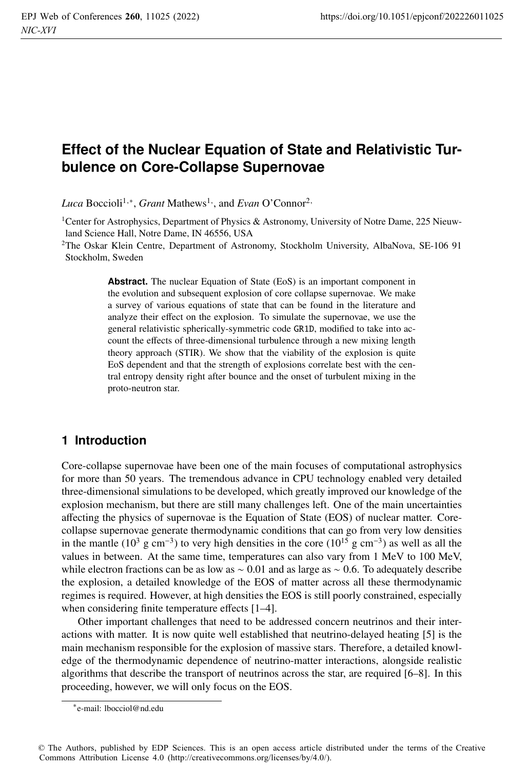# **Effect of the Nuclear Equation of State and Relativistic Turbulence on Core-Collapse Supernovae**

*Luca* Boccioli<sup>1,∗</sup>, *Grant* Mathews<sup>1</sup><sup>,</sup>, and *Evan* O'Connor<sup>2,</sup>

<sup>1</sup>Center for Astrophysics, Department of Physics & Astronomy, University of Notre Dame, 225 Nieuwland Science Hall, Notre Dame, IN 46556, USA

2The Oskar Klein Centre, Department of Astronomy, Stockholm University, AlbaNova, SE-106 91 Stockholm, Sweden

> **Abstract.** The nuclear Equation of State (EoS) is an important component in the evolution and subsequent explosion of core collapse supernovae. We make a survey of various equations of state that can be found in the literature and analyze their effect on the explosion. To simulate the supernovae, we use the general relativistic spherically-symmetric code GR1D, modified to take into account the effects of three-dimensional turbulence through a new mixing length theory approach (STIR). We show that the viability of the explosion is quite EoS dependent and that the strength of explosions correlate best with the central entropy density right after bounce and the onset of turbulent mixing in the proto-neutron star.

# **1 Introduction**

Core-collapse supernovae have been one of the main focuses of computational astrophysics for more than 50 years. The tremendous advance in CPU technology enabled very detailed three-dimensional simulations to be developed, which greatly improved our knowledge of the explosion mechanism, but there are still many challenges left. One of the main uncertainties affecting the physics of supernovae is the Equation of State (EOS) of nuclear matter. Corecollapse supernovae generate thermodynamic conditions that can go from very low densities in the mantle (10<sup>3</sup> g cm<sup>-3</sup>) to very high densities in the core (10<sup>15</sup> g cm<sup>-3</sup>) as well as all the values in between. At the same time, temperatures can also vary from 1 MeV to 100 MeV, while electron fractions can be as low as  $\sim 0.01$  and as large as  $\sim 0.6$ . To adequately describe the explosion, a detailed knowledge of the EOS of matter across all these thermodynamic regimes is required. However, at high densities the EOS is still poorly constrained, especially when considering finite temperature effects [1–4].

Other important challenges that need to be addressed concern neutrinos and their interactions with matter. It is now quite well established that neutrino-delayed heating [5] is the main mechanism responsible for the explosion of massive stars. Therefore, a detailed knowledge of the thermodynamic dependence of neutrino-matter interactions, alongside realistic algorithms that describe the transport of neutrinos across the star, are required [6–8]. In this proceeding, however, we will only focus on the EOS.

<sup>∗</sup>e-mail: lbocciol@nd.edu

<sup>©</sup> The Authors, published by EDP Sciences. This is an open access article distributed under the terms of the Creative Commons Attribution License 4.0 (http://creativecommons.org/licenses/by/4.0/).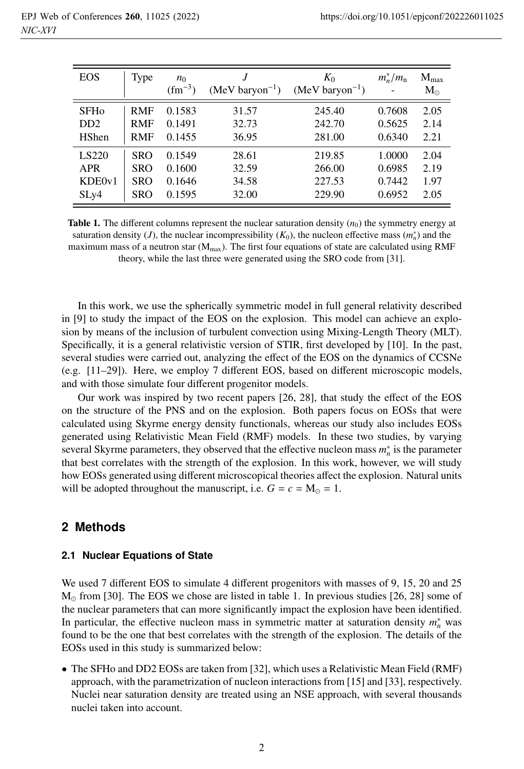| <b>EOS</b>             | Type       | $n_0$<br>$(fm^{-3})$ | J<br>$(MeV baryon^{-1})$ | $K_0$<br>$(MeV baryon^{-1})$ | $m_n^*/m_n$ | $M_{\rm max}$<br>$M_{\odot}$ |
|------------------------|------------|----------------------|--------------------------|------------------------------|-------------|------------------------------|
| <b>SFH<sub>o</sub></b> | <b>RMF</b> | 0.1583               | 31.57                    | 245.40                       | 0.7608      | 2.05                         |
| D <sub>D</sub>         | <b>RMF</b> | 0.1491               | 32.73                    | 242.70                       | 0.5625      | 2.14                         |
| <b>H</b> Shen          | <b>RMF</b> | 0.1455               | 36.95                    | 281.00                       | 0.6340      | 2.21                         |
| LS220                  | <b>SRO</b> | 0.1549               | 28.61                    | 219.85                       | 1.0000      | 2.04                         |
| <b>APR</b>             | <b>SRO</b> | 0.1600               | 32.59                    | 266.00                       | 0.6985      | 2.19                         |
| KDE0v1                 | SRO        | 0.1646               | 34.58                    | 227.53                       | 0.7442      | 1.97                         |
| SLy4                   | <b>SRO</b> | 0.1595               | 32.00                    | 229.90                       | 0.6952      | 2.05                         |

**Table 1.** The different columns represent the nuclear saturation density  $(n_0)$  the symmetry energy at saturation density (*J*), the nuclear incompressibility  $(K_0)$ , the nucleon effective mass  $(m_n^*)$  and the maximum mass of a neutron star ( $M_{max}$ ). The first four equations of state are calculated using RMF theory, while the last three were generated using the SRO code from [31].

In this work, we use the spherically symmetric model in full general relativity described in [9] to study the impact of the EOS on the explosion. This model can achieve an explosion by means of the inclusion of turbulent convection using Mixing-Length Theory (MLT). Specifically, it is a general relativistic version of STIR, first developed by [10]. In the past, several studies were carried out, analyzing the effect of the EOS on the dynamics of CCSNe (e.g. [11–29]). Here, we employ 7 different EOS, based on different microscopic models, and with those simulate four different progenitor models.

Our work was inspired by two recent papers [26, 28], that study the effect of the EOS on the structure of the PNS and on the explosion. Both papers focus on EOSs that were calculated using Skyrme energy density functionals, whereas our study also includes EOSs generated using Relativistic Mean Field (RMF) models. In these two studies, by varying several Skyrme parameters, they observed that the effective nucleon mass *m*<sup>∗</sup> *<sup>n</sup>* is the parameter that best correlates with the strength of the explosion. In this work, however, we will study how EOSs generated using different microscopical theories affect the explosion. Natural units will be adopted throughout the manuscript, i.e.  $G = c = M_{\odot} = 1$ .

### **2 Methods**

#### **2.1 Nuclear Equations of State**

We used 7 different EOS to simulate 4 different progenitors with masses of 9, 15, 20 and 25  $M_{\odot}$  from [30]. The EOS we chose are listed in table 1. In previous studies [26, 28] some of the nuclear parameters that can more significantly impact the explosion have been identified. In particular, the effective nucleon mass in symmetric matter at saturation density  $m_n^*$  was found to be the one that best correlates with the strength of the explosion. The details of the EOSs used in this study is summarized below:

• The SFHo and DD2 EOSs are taken from [32], which uses a Relativistic Mean Field (RMF) approach, with the parametrization of nucleon interactions from [15] and [33], respectively. Nuclei near saturation density are treated using an NSE approach, with several thousands nuclei taken into account.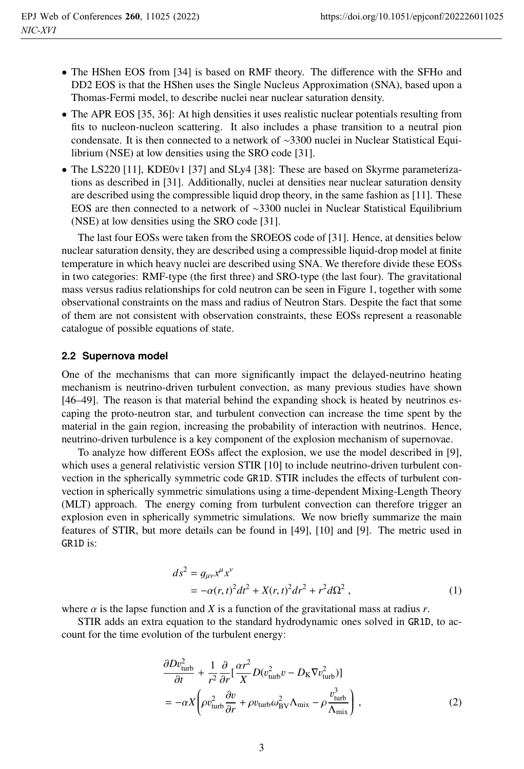- The HShen EOS from [34] is based on RMF theory. The difference with the SFHo and DD2 EOS is that the HShen uses the Single Nucleus Approximation (SNA), based upon a Thomas-Fermi model, to describe nuclei near nuclear saturation density.
- The APR EOS [35, 36]: At high densities it uses realistic nuclear potentials resulting from fits to nucleon-nucleon scattering. It also includes a phase transition to a neutral pion condensate. It is then connected to a network of ∼3300 nuclei in Nuclear Statistical Equilibrium (NSE) at low densities using the SRO code [31].
- The LS220 [11], KDE0v1 [37] and SLy4 [38]: These are based on Skyrme parameterizations as described in [31]. Additionally, nuclei at densities near nuclear saturation density are described using the compressible liquid drop theory, in the same fashion as [11]. These EOS are then connected to a network of ∼3300 nuclei in Nuclear Statistical Equilibrium (NSE) at low densities using the SRO code [31].

The last four EOSs were taken from the SROEOS code of [31]. Hence, at densities below nuclear saturation density, they are described using a compressible liquid-drop model at finite temperature in which heavy nuclei are described using SNA. We therefore divide these EOSs in two categories: RMF-type (the first three) and SRO-type (the last four). The gravitational mass versus radius relationships for cold neutron can be seen in Figure 1, together with some observational constraints on the mass and radius of Neutron Stars. Despite the fact that some of them are not consistent with observation constraints, these EOSs represent a reasonable catalogue of possible equations of state.

#### **2.2 Supernova model**

One of the mechanisms that can more significantly impact the delayed-neutrino heating mechanism is neutrino-driven turbulent convection, as many previous studies have shown [46–49]. The reason is that material behind the expanding shock is heated by neutrinos escaping the proto-neutron star, and turbulent convection can increase the time spent by the material in the gain region, increasing the probability of interaction with neutrinos. Hence, neutrino-driven turbulence is a key component of the explosion mechanism of supernovae.

To analyze how different EOSs affect the explosion, we use the model described in [9], which uses a general relativistic version STIR [10] to include neutrino-driven turbulent convection in the spherically symmetric code GR1D. STIR includes the effects of turbulent convection in spherically symmetric simulations using a time-dependent Mixing-Length Theory (MLT) approach. The energy coming from turbulent convection can therefore trigger an explosion even in spherically symmetric simulations. We now briefly summarize the main features of STIR, but more details can be found in [49], [10] and [9]. The metric used in GR1D is:

$$
ds^{2} = g_{\mu\nu}x^{\mu}x^{\nu}
$$
  
= -\alpha(r, t)^{2}dt^{2} + X(r, t)^{2}dr^{2} + r^{2}d\Omega^{2}, (1)

where  $\alpha$  is the lapse function and *X* is a function of the gravitational mass at radius *r*.

STIR adds an extra equation to the standard hydrodynamic ones solved in GR1D, to account for the time evolution of the turbulent energy:

$$
\frac{\partial Dv_{\text{turb}}^2}{\partial t} + \frac{1}{r^2} \frac{\partial}{\partial r} \left[ \frac{\alpha r^2}{X} D(v_{\text{turb}}^2 v - D_K \nabla v_{\text{turb}}^2) \right] \n= -\alpha X \left( \rho v_{\text{turb}}^2 \frac{\partial v}{\partial r} + \rho v_{\text{turb}} \omega_{\text{BV}}^2 \Lambda_{\text{mix}} - \rho \frac{v_{\text{turb}}^3}{\Lambda_{\text{mix}}} \right),
$$
\n(2)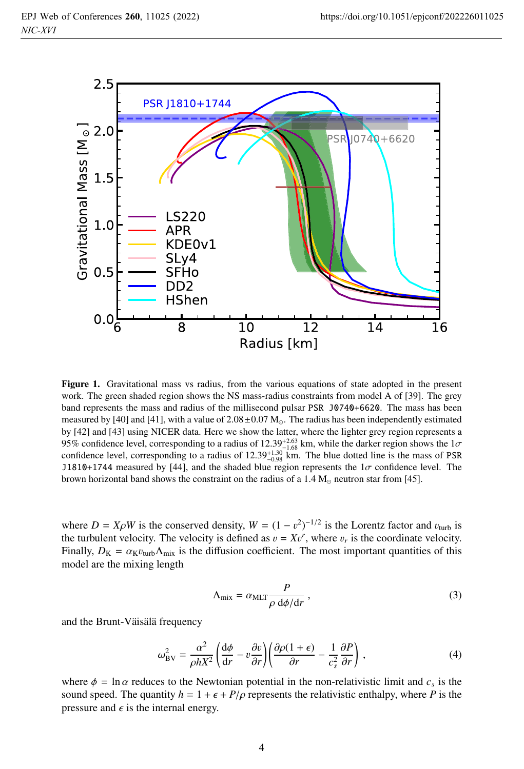

Figure 1. Gravitational mass vs radius, from the various equations of state adopted in the present work. The green shaded region shows the NS mass-radius constraints from model A of [39]. The grey band represents the mass and radius of the millisecond pulsar PSR J0740+6620. The mass has been measured by [40] and [41], with a value of  $2.08\pm0.07$  M<sub>o</sub>. The radius has been independently estimated by [42] and [43] using NICER data. Here we show the latter, where the lighter grey region represents a 95% confidence level, corresponding to a radius of  $12.39^{+2.63}_{-1.68}$  km, while the darker region shows the  $1\sigma$ <br>confidence level, corresponding to a radius of 12.39<sup>+1.30</sup> km. The blue dotted line is the mass of PSR confidence level, corresponding to a radius of  $12.39^{+1.30}_{-0.98}$  km. The blue dotted line is the mass of PSR natural and the shaded blue region represents the La confidence level. The J1810+1744 measured by [44], and the shaded blue region represents the  $1\sigma$  confidence level. The brown horizontal band shows the constraint on the radius of a  $1.4 M_{\odot}$  neutron star from [45].

where  $D = X \rho W$  is the conserved density,  $W = (1 - v^2)^{-1/2}$  is the Lorentz factor and  $v_{\text{turb}}$  is the turbulent velocity. The velocity is defined as  $v = Xv^r$ , where v is the coordinate velocity the turbulent velocity. The velocity is defined as  $v = Xv^r$ , where  $v_r$  is the coordinate velocity.<br>Finally  $Dx = \alpha v$ ,  $A + i$  is the diffusion coefficient. The most important quantities of this Finally,  $D_K = \alpha_K v_{\text{turb}} \Lambda_{\text{mix}}$  is the diffusion coefficient. The most important quantities of this model are the mixing length

$$
\Lambda_{\text{mix}} = \alpha_{\text{MLT}} \frac{P}{\rho \, \text{d}\phi/\text{d}r},\tag{3}
$$

and the Brunt-Väisälä frequency

$$
\omega_{\text{BV}}^2 = \frac{\alpha^2}{\rho h X^2} \left( \frac{d\phi}{dr} - v \frac{\partial v}{\partial r} \right) \left( \frac{\partial \rho (1 + \epsilon)}{\partial r} - \frac{1}{c_s^2} \frac{\partial P}{\partial r} \right) ,\tag{4}
$$

where  $\phi = \ln \alpha$  reduces to the Newtonian potential in the non-relativistic limit and  $c_s$  is the sound speed. The quantity  $h = 1 + \epsilon + P/\rho$  represents the relativistic enthalpy, where *P* is the pressure and  $\epsilon$  is the internal energy.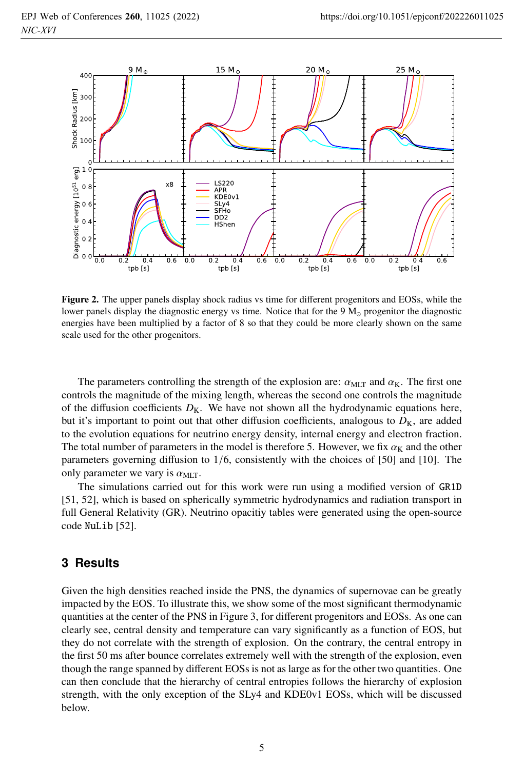

Figure 2. The upper panels display shock radius vs time for different progenitors and EOSs, while the lower panels display the diagnostic energy vs time. Notice that for the 9  $M_{\odot}$  progenitor the diagnostic energies have been multiplied by a factor of 8 so that they could be more clearly shown on the same scale used for the other progenitors.

The parameters controlling the strength of the explosion are:  $\alpha_{MLT}$  and  $\alpha_K$ . The first one controls the magnitude of the mixing length, whereas the second one controls the magnitude of the diffusion coefficients  $D_K$ . We have not shown all the hydrodynamic equations here, but it's important to point out that other diffusion coefficients, analogous to  $D<sub>K</sub>$ , are added to the evolution equations for neutrino energy density, internal energy and electron fraction. The total number of parameters in the model is therefore 5. However, we fix  $\alpha_K$  and the other parameters governing diffusion to 1/6, consistently with the choices of [50] and [10]. The only parameter we vary is  $\alpha_{\text{MIT}}$ .

The simulations carried out for this work were run using a modified version of GR1D [51, 52], which is based on spherically symmetric hydrodynamics and radiation transport in full General Relativity (GR). Neutrino opacitiy tables were generated using the open-source code NuLib [52].

# **3 Results**

Given the high densities reached inside the PNS, the dynamics of supernovae can be greatly impacted by the EOS. To illustrate this, we show some of the most significant thermodynamic quantities at the center of the PNS in Figure 3, for different progenitors and EOSs. As one can clearly see, central density and temperature can vary significantly as a function of EOS, but they do not correlate with the strength of explosion. On the contrary, the central entropy in the first 50 ms after bounce correlates extremely well with the strength of the explosion, even though the range spanned by different EOSs is not as large as for the other two quantities. One can then conclude that the hierarchy of central entropies follows the hierarchy of explosion strength, with the only exception of the SLy4 and KDE0v1 EOSs, which will be discussed below.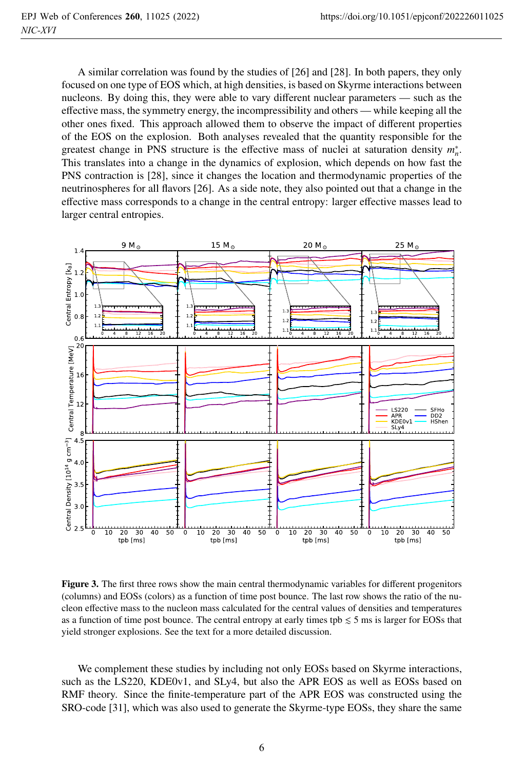A similar correlation was found by the studies of [26] and [28]. In both papers, they only focused on one type of EOS which, at high densities, is based on Skyrme interactions between nucleons. By doing this, they were able to vary different nuclear parameters — such as the effective mass, the symmetry energy, the incompressibility and others — while keeping all the other ones fixed. This approach allowed them to observe the impact of different properties of the EOS on the explosion. Both analyses revealed that the quantity responsible for the greatest change in PNS structure is the effective mass of nuclei at saturation density  $m_n^*$ . This translates into a change in the dynamics of explosion, which depends on how fast the PNS contraction is [28], since it changes the location and thermodynamic properties of the neutrinospheres for all flavors [26]. As a side note, they also pointed out that a change in the effective mass corresponds to a change in the central entropy: larger effective masses lead to larger central entropies.



Figure 3. The first three rows show the main central thermodynamic variables for different progenitors (columns) and EOSs (colors) as a function of time post bounce. The last row shows the ratio of the nucleon effective mass to the nucleon mass calculated for the central values of densities and temperatures as a function of time post bounce. The central entropy at early times tpb  $\leq 5$  ms is larger for EOSs that yield stronger explosions. See the text for a more detailed discussion.

We complement these studies by including not only EOSs based on Skyrme interactions, such as the LS220, KDE0v1, and SLy4, but also the APR EOS as well as EOSs based on RMF theory. Since the finite-temperature part of the APR EOS was constructed using the SRO-code [31], which was also used to generate the Skyrme-type EOSs, they share the same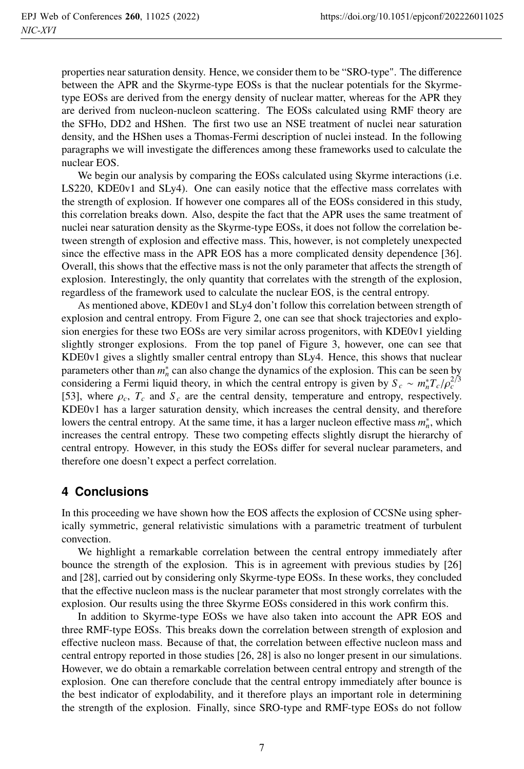properties near saturation density. Hence, we consider them to be "SRO-type". The difference between the APR and the Skyrme-type EOSs is that the nuclear potentials for the Skyrmetype EOSs are derived from the energy density of nuclear matter, whereas for the APR they are derived from nucleon-nucleon scattering. The EOSs calculated using RMF theory are the SFHo, DD2 and HShen. The first two use an NSE treatment of nuclei near saturation density, and the HShen uses a Thomas-Fermi description of nuclei instead. In the following paragraphs we will investigate the differences among these frameworks used to calculate the nuclear EOS.

We begin our analysis by comparing the EOSs calculated using Skyrme interactions (i.e. LS220, KDE0v1 and SLy4). One can easily notice that the effective mass correlates with the strength of explosion. If however one compares all of the EOSs considered in this study, this correlation breaks down. Also, despite the fact that the APR uses the same treatment of nuclei near saturation density as the Skyrme-type EOSs, it does not follow the correlation between strength of explosion and effective mass. This, however, is not completely unexpected since the effective mass in the APR EOS has a more complicated density dependence [36]. Overall, this shows that the effective mass is not the only parameter that affects the strength of explosion. Interestingly, the only quantity that correlates with the strength of the explosion, regardless of the framework used to calculate the nuclear EOS, is the central entropy.

As mentioned above, KDE0v1 and SLy4 don't follow this correlation between strength of explosion and central entropy. From Figure 2, one can see that shock trajectories and explosion energies for these two EOSs are very similar across progenitors, with KDE0v1 yielding slightly stronger explosions. From the top panel of Figure 3, however, one can see that KDE0v1 gives a slightly smaller central entropy than SLy4. Hence, this shows that nuclear parameters other than  $m_n^*$  can also change the dynamics of the explosion. This can be seen by considering a Fermi liquid theory, in which the central entropy is given by  $S_c \sim m_n^* T_c / \rho_c^{2/3}$ <br>[53] where *c T* and *S* are the central density temperature and entropy respectively [53], where  $\rho_c$ ,  $T_c$  and  $S_c$  are the central density, temperature and entropy, respectively. KDE0v1 has a larger saturation density, which increases the central density, and therefore lowers the central entropy. At the same time, it has a larger nucleon effective mass  $m_n^*$ , which increases the central entropy. These two competing effects slightly disrupt the hierarchy of central entropy. However, in this study the EOSs differ for several nuclear parameters, and therefore one doesn't expect a perfect correlation.

# **4 Conclusions**

In this proceeding we have shown how the EOS affects the explosion of CCSNe using spherically symmetric, general relativistic simulations with a parametric treatment of turbulent convection.

We highlight a remarkable correlation between the central entropy immediately after bounce the strength of the explosion. This is in agreement with previous studies by [26] and [28], carried out by considering only Skyrme-type EOSs. In these works, they concluded that the effective nucleon mass is the nuclear parameter that most strongly correlates with the explosion. Our results using the three Skyrme EOSs considered in this work confirm this.

In addition to Skyrme-type EOSs we have also taken into account the APR EOS and three RMF-type EOSs. This breaks down the correlation between strength of explosion and effective nucleon mass. Because of that, the correlation between effective nucleon mass and central entropy reported in those studies [26, 28] is also no longer present in our simulations. However, we do obtain a remarkable correlation between central entropy and strength of the explosion. One can therefore conclude that the central entropy immediately after bounce is the best indicator of explodability, and it therefore plays an important role in determining the strength of the explosion. Finally, since SRO-type and RMF-type EOSs do not follow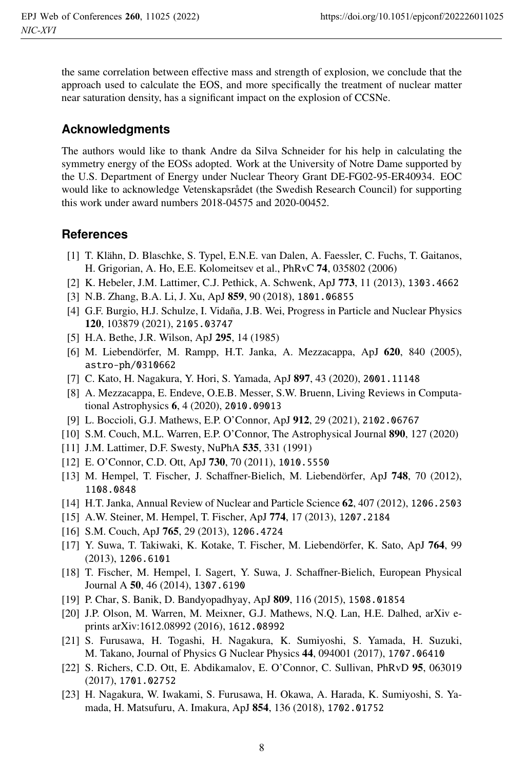the same correlation between effective mass and strength of explosion, we conclude that the approach used to calculate the EOS, and more specifically the treatment of nuclear matter near saturation density, has a significant impact on the explosion of CCSNe.

### **Acknowledgments**

The authors would like to thank Andre da Silva Schneider for his help in calculating the symmetry energy of the EOSs adopted. Work at the University of Notre Dame supported by the U.S. Department of Energy under Nuclear Theory Grant DE-FG02-95-ER40934. EOC would like to acknowledge Vetenskapsrådet (the Swedish Research Council) for supporting this work under award numbers 2018-04575 and 2020-00452.

### **References**

- [1] T. Klähn, D. Blaschke, S. Typel, E.N.E. van Dalen, A. Faessler, C. Fuchs, T. Gaitanos, H. Grigorian, A. Ho, E.E. Kolomeitsev et al., PhRvC 74, 035802 (2006)
- [2] K. Hebeler, J.M. Lattimer, C.J. Pethick, A. Schwenk, ApJ 773, 11 (2013), 1303.4662
- [3] N.B. Zhang, B.A. Li, J. Xu, ApJ 859, 90 (2018), 1801.06855
- [4] G.F. Burgio, H.J. Schulze, I. Vidaña, J.B. Wei, Progress in Particle and Nuclear Physics 120, 103879 (2021), 2105.03747
- [5] H.A. Bethe, J.R. Wilson, ApJ 295, 14 (1985)
- [6] M. Liebendörfer, M. Rampp, H.T. Janka, A. Mezzacappa, ApJ 620, 840 (2005), astro-ph/0310662
- [7] C. Kato, H. Nagakura, Y. Hori, S. Yamada, ApJ 897, 43 (2020), 2001.11148
- [8] A. Mezzacappa, E. Endeve, O.E.B. Messer, S.W. Bruenn, Living Reviews in Computational Astrophysics 6, 4 (2020), 2010.09013
- [9] L. Boccioli, G.J. Mathews, E.P. O'Connor, ApJ 912, 29 (2021), 2102.06767
- [10] S.M. Couch, M.L. Warren, E.P. O'Connor, The Astrophysical Journal 890, 127 (2020)
- [11] J.M. Lattimer, D.F. Swesty, NuPhA 535, 331 (1991)
- [12] E. O'Connor, C.D. Ott, ApJ 730, 70 (2011), 1010.5550
- [13] M. Hempel, T. Fischer, J. Schaffner-Bielich, M. Liebendörfer, ApJ 748, 70 (2012), 1108.0848
- [14] H.T. Janka, Annual Review of Nuclear and Particle Science 62, 407 (2012), 1206.2503
- [15] A.W. Steiner, M. Hempel, T. Fischer, ApJ 774, 17 (2013), 1207.2184
- [16] S.M. Couch, ApJ 765, 29 (2013), 1206.4724
- [17] Y. Suwa, T. Takiwaki, K. Kotake, T. Fischer, M. Liebendörfer, K. Sato, ApJ 764, 99 (2013), 1206.6101
- [18] T. Fischer, M. Hempel, I. Sagert, Y. Suwa, J. Schaffner-Bielich, European Physical Journal A 50, 46 (2014), 1307.6190
- [19] P. Char, S. Banik, D. Bandyopadhyay, ApJ 809, 116 (2015), 1508.01854
- [20] J.P. Olson, M. Warren, M. Meixner, G.J. Mathews, N.Q. Lan, H.E. Dalhed, arXiv eprints arXiv:1612.08992 (2016), 1612.08992
- [21] S. Furusawa, H. Togashi, H. Nagakura, K. Sumiyoshi, S. Yamada, H. Suzuki, M. Takano, Journal of Physics G Nuclear Physics 44, 094001 (2017), 1707.06410
- [22] S. Richers, C.D. Ott, E. Abdikamalov, E. O'Connor, C. Sullivan, PhRvD 95, 063019 (2017), 1701.02752
- [23] H. Nagakura, W. Iwakami, S. Furusawa, H. Okawa, A. Harada, K. Sumiyoshi, S. Yamada, H. Matsufuru, A. Imakura, ApJ 854, 136 (2018), 1702.01752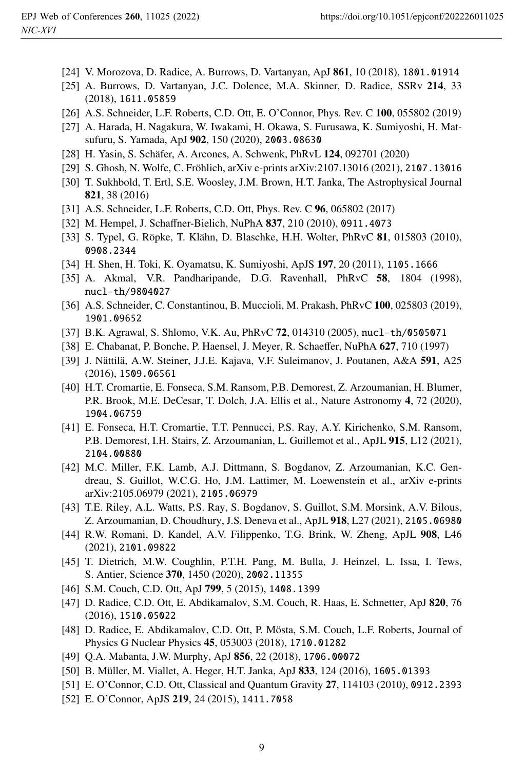- [24] V. Morozova, D. Radice, A. Burrows, D. Vartanyan, ApJ 861, 10 (2018), 1801.01914
- [25] A. Burrows, D. Vartanyan, J.C. Dolence, M.A. Skinner, D. Radice, SSRv 214, 33 (2018), 1611.05859
- [26] A.S. Schneider, L.F. Roberts, C.D. Ott, E. O'Connor, Phys. Rev. C 100, 055802 (2019)
- [27] A. Harada, H. Nagakura, W. Iwakami, H. Okawa, S. Furusawa, K. Sumiyoshi, H. Matsufuru, S. Yamada, ApJ 902, 150 (2020), 2003.08630
- [28] H. Yasin, S. Schäfer, A. Arcones, A. Schwenk, PhRvL 124, 092701 (2020)
- [29] S. Ghosh, N. Wolfe, C. Fröhlich, arXiv e-prints arXiv:2107.13016 (2021), 2107.13016
- [30] T. Sukhbold, T. Ertl, S.E. Woosley, J.M. Brown, H.T. Janka, The Astrophysical Journal 821, 38 (2016)
- [31] A.S. Schneider, L.F. Roberts, C.D. Ott, Phys. Rev. C 96, 065802 (2017)
- [32] M. Hempel, J. Schaffner-Bielich, NuPhA 837, 210 (2010), 0911.4073
- [33] S. Typel, G. Röpke, T. Klähn, D. Blaschke, H.H. Wolter, PhRvC 81, 015803 (2010), 0908.2344
- [34] H. Shen, H. Toki, K. Oyamatsu, K. Sumiyoshi, ApJS 197, 20 (2011), 1105.1666
- [35] A. Akmal, V.R. Pandharipande, D.G. Ravenhall, PhRvC 58, 1804 (1998), nucl-th/9804027
- [36] A.S. Schneider, C. Constantinou, B. Muccioli, M. Prakash, PhRvC 100, 025803 (2019), 1901.09652
- [37] B.K. Agrawal, S. Shlomo, V.K. Au, PhRvC 72, 014310 (2005), nucl-th/0505071
- [38] E. Chabanat, P. Bonche, P. Haensel, J. Meyer, R. Schaeffer, NuPhA 627, 710 (1997)
- [39] J. Nättilä, A.W. Steiner, J.J.E. Kajava, V.F. Suleimanov, J. Poutanen, A&A 591, A25 (2016), 1509.06561
- [40] H.T. Cromartie, E. Fonseca, S.M. Ransom, P.B. Demorest, Z. Arzoumanian, H. Blumer, P.R. Brook, M.E. DeCesar, T. Dolch, J.A. Ellis et al., Nature Astronomy 4, 72 (2020), 1904.06759
- [41] E. Fonseca, H.T. Cromartie, T.T. Pennucci, P.S. Ray, A.Y. Kirichenko, S.M. Ransom, P.B. Demorest, I.H. Stairs, Z. Arzoumanian, L. Guillemot et al., ApJL 915, L12 (2021), 2104.00880
- [42] M.C. Miller, F.K. Lamb, A.J. Dittmann, S. Bogdanov, Z. Arzoumanian, K.C. Gendreau, S. Guillot, W.C.G. Ho, J.M. Lattimer, M. Loewenstein et al., arXiv e-prints arXiv:2105.06979 (2021), 2105.06979
- [43] T.E. Riley, A.L. Watts, P.S. Ray, S. Bogdanov, S. Guillot, S.M. Morsink, A.V. Bilous, Z. Arzoumanian, D. Choudhury, J.S. Deneva et al., ApJL 918, L27 (2021), 2105.06980
- [44] R.W. Romani, D. Kandel, A.V. Filippenko, T.G. Brink, W. Zheng, ApJL 908, L46 (2021), 2101.09822
- [45] T. Dietrich, M.W. Coughlin, P.T.H. Pang, M. Bulla, J. Heinzel, L. Issa, I. Tews, S. Antier, Science 370, 1450 (2020), 2002.11355
- [46] S.M. Couch, C.D. Ott, ApJ 799, 5 (2015), 1408.1399
- [47] D. Radice, C.D. Ott, E. Abdikamalov, S.M. Couch, R. Haas, E. Schnetter, ApJ 820, 76 (2016), 1510.05022
- [48] D. Radice, E. Abdikamalov, C.D. Ott, P. Mösta, S.M. Couch, L.F. Roberts, Journal of Physics G Nuclear Physics 45, 053003 (2018), 1710.01282
- [49] Q.A. Mabanta, J.W. Murphy, ApJ 856, 22 (2018), 1706.00072
- [50] B. Müller, M. Viallet, A. Heger, H.T. Janka, ApJ 833, 124 (2016), 1605.01393
- [51] E. O'Connor, C.D. Ott, Classical and Quantum Gravity 27, 114103 (2010), 0912.2393
- [52] E. O'Connor, ApJS 219, 24 (2015), 1411.7058